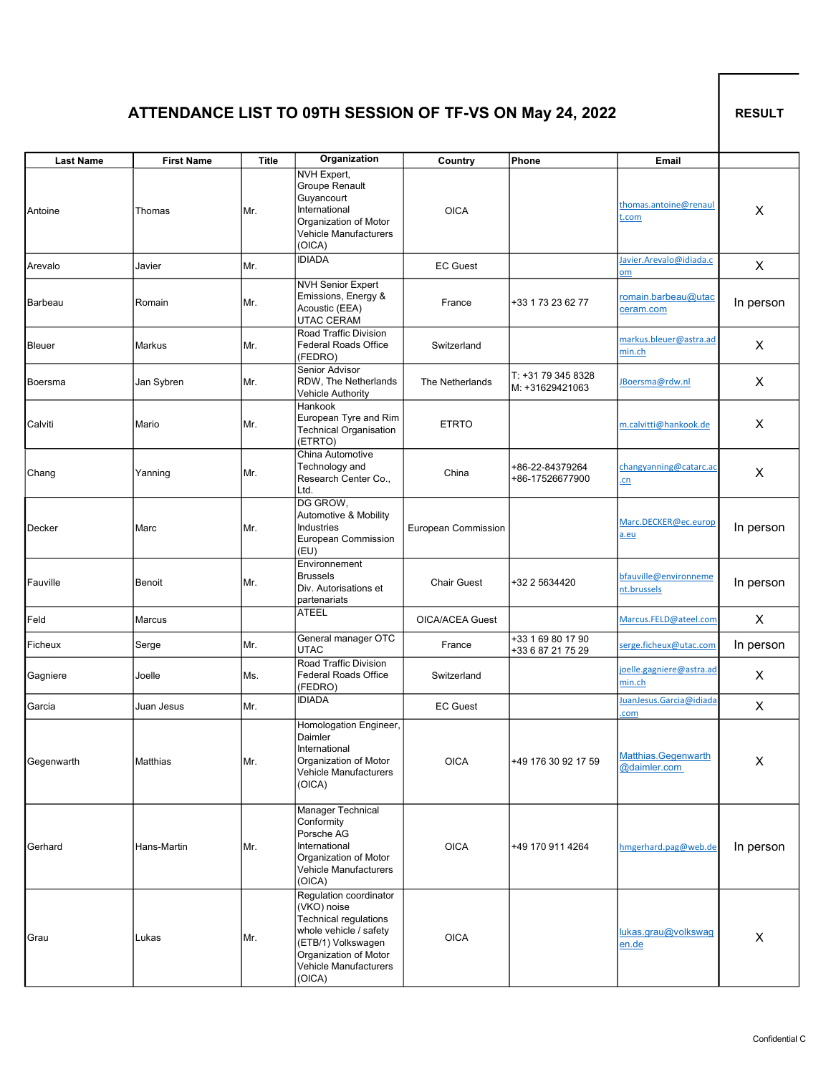## ATTENDANCE LIST TO 09TH SESSION OF TF-VS ON May 24, 2022

RESULT

| <b>Last Name</b> | <b>First Name</b> | <b>Title</b> | Organization                                                                                                                                                               | Country                | Phone                                  | Email                                |           |
|------------------|-------------------|--------------|----------------------------------------------------------------------------------------------------------------------------------------------------------------------------|------------------------|----------------------------------------|--------------------------------------|-----------|
| Antoine          | Thomas            | Mr.          | <b>NVH Expert,</b><br>Groupe Renault<br>Guyancourt<br>International<br>Organization of Motor<br>Vehicle Manufacturers<br>(OICA)                                            | <b>OICA</b>            |                                        | thomas.antoine@renaul<br>t.com       | X.        |
| Arevalo          | Javier            | Mr.          | <b>IDIADA</b>                                                                                                                                                              | <b>EC Guest</b>        |                                        | Javier.Arevalo@idiada.c<br>om        | X         |
| <b>Barbeau</b>   | Romain            | Mr.          | <b>NVH</b> Senior Expert<br>Emissions, Energy &<br>Acoustic (EEA)<br>UTAC CERAM                                                                                            | France                 | +33 1 73 23 62 77                      | romain.barbeau@utac<br>ceram.com     | In person |
| <b>Bleuer</b>    | Markus            | Mr.          | Road Traffic Division<br><b>Federal Roads Office</b><br>(FEDRO)                                                                                                            | Switzerland            |                                        | markus.bleuer@astra.ad<br>min.ch     | X         |
| Boersma          | Jan Sybren        | Mr.          | Senior Advisor<br>RDW, The Netherlands<br>Vehicle Authority                                                                                                                | The Netherlands        | T: +31 79 345 8328<br>M: +31629421063  | JBoersma@rdw.nl                      | X         |
| Calviti          | Mario             | Mr.          | Hankook<br>European Tyre and Rim<br><b>Technical Organisation</b><br>(ETRTO)                                                                                               | <b>ETRTO</b>           |                                        | m.calvitti@hankook.de                | X         |
| Chang            | Yanning           | Mr.          | China Automotive<br>Technology and<br>Research Center Co.,<br>Ltd.                                                                                                         | China                  | +86-22-84379264<br>+86-17526677900     | changyanning@catarc.ac<br>.cn        | X         |
| Decker           | Marc              | Mr.          | DG GROW,<br>Automotive & Mobility<br>Industries<br>European Commission<br>(EU)                                                                                             | European Commission    |                                        | Marc.DECKER@ec.europ<br>a.eu         | In person |
| Fauville         | Benoit            | Mr.          | Environnement<br><b>Brussels</b><br>Div. Autorisations et<br>partenariats                                                                                                  | <b>Chair Guest</b>     | +32 2 5634420                          | bfauville@environneme<br>nt.brussels | In person |
| Feld             | Marcus            |              | <b>ATEEL</b>                                                                                                                                                               | <b>OICA/ACEA Guest</b> |                                        | Marcus.FELD@ateel.com                | X         |
| Ficheux          | Serge             | Mr.          | General manager OTC<br>UTAC                                                                                                                                                | France                 | +33 1 69 80 17 90<br>+33 6 87 21 75 29 | serge.ficheux@utac.com               | In person |
| Gagniere         | Joelle            | Ms.          | Road Traffic Division<br><b>Federal Roads Office</b><br>(FEDRO)                                                                                                            | Switzerland            |                                        | joelle.gagniere@astra.ad<br>min.ch   | X         |
| Garcia           | Juan Jesus        | Mr.          | <b>IDIADA</b>                                                                                                                                                              | <b>EC Guest</b>        |                                        | Juan Jesus. Garcia@idiada<br>.com    | X         |
| Gegenwarth       | Matthias          | Mr.          | Homologation Engineer,<br>Daimler<br>International<br>Organization of Motor<br>Vehicle Manufacturers<br>(OICA)                                                             | <b>OICA</b>            | +49 176 30 92 17 59                    | Matthias.Gegenwarth<br>@daimler.com  | X         |
| Gerhard          | Hans-Martin       | Mr.          | Manager Technical<br>Conformity<br>Porsche AG<br>International<br>Organization of Motor<br>Vehicle Manufacturers<br>(OICA)                                                 | <b>OICA</b>            | +49 170 911 4264                       | hmgerhard.pag@web.de                 | In person |
| Grau             | Lukas             | Mr.          | Regulation coordinator<br>(VKO) noise<br>Technical regulations<br>whole vehicle / safety<br>(ETB/1) Volkswagen<br>Organization of Motor<br>Vehicle Manufacturers<br>(OICA) | <b>OICA</b>            |                                        | lukas.grau@volkswag<br>en.de         | X         |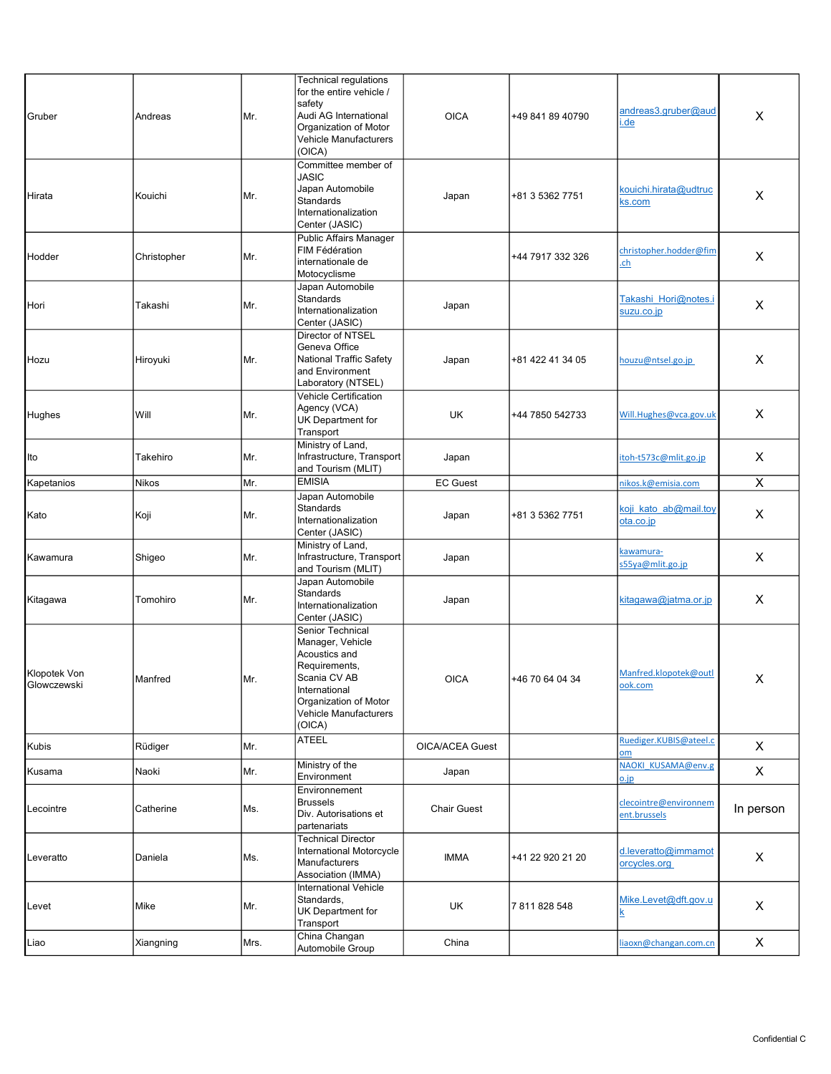| Gruber                      | Andreas      | Mr.  | <b>Technical regulations</b><br>for the entire vehicle /<br>safety<br>Audi AG International<br>Organization of Motor<br><b>Vehicle Manufacturers</b><br>(OICA)      | <b>OICA</b>            | +49 841 89 40790 | andreas3.gruber@aud<br>.de                | X                       |
|-----------------------------|--------------|------|---------------------------------------------------------------------------------------------------------------------------------------------------------------------|------------------------|------------------|-------------------------------------------|-------------------------|
| Hirata                      | Kouichi      | Mr.  | Committee member of<br>JASIC<br>Japan Automobile<br>Standards<br>Internationalization<br>Center (JASIC)                                                             | Japan                  | +81 3 5362 7751  | kouichi.hirata@udtruc<br><u>ks.com</u>    | X                       |
| Hodder                      | Christopher  | Mr.  | Public Affairs Manager<br>FIM Fédération<br>internationale de<br>Motocyclisme                                                                                       |                        | +44 7917 332 326 | christopher.hodder@fim<br>.ch             | X                       |
| Hori                        | Takashi      | Mr.  | Japan Automobile<br>Standards<br>Internationalization<br>Center (JASIC)                                                                                             | Japan                  |                  | Takashi Hori@notes.i<br><u>suzu.co.jp</u> | X                       |
| Hozu                        | Hiroyuki     | Mr.  | Director of NTSEL<br>Geneva Office<br><b>National Traffic Safety</b><br>and Environment<br>Laboratory (NTSEL)                                                       | Japan                  | +81 422 41 34 05 | houzu@ntsel.go.jp                         | X                       |
| Hughes                      | Will         | Mr.  | Vehicle Certification<br>Agency (VCA)<br>UK Department for<br>Transport                                                                                             | UK                     | +44 7850 542733  | Will.Hughes@vca.gov.uk                    | X                       |
| Ito                         | Takehiro     | Mr.  | Ministry of Land,<br>Infrastructure, Transport<br>and Tourism (MLIT)                                                                                                | Japan                  |                  | itoh-t573c@mlit.go.jp                     | X                       |
| Kapetanios                  | <b>Nikos</b> | Mr.  | <b>EMISIA</b>                                                                                                                                                       | <b>EC</b> Guest        |                  | nikos.k@emisia.com                        | $\overline{\mathsf{x}}$ |
| Kato                        | Koji         | Mr.  | Japan Automobile<br><b>Standards</b><br>Internationalization<br>Center (JASIC)                                                                                      | Japan                  | +81 3 5362 7751  | koji kato ab@mail.tov<br>ota.co.jp        | X                       |
| Kawamura                    | Shigeo       | Mr.  | Ministry of Land,<br>Infrastructure, Transport<br>and Tourism (MLIT)                                                                                                | Japan                  |                  | kawamura-<br>s55ya@mlit.go.jp             | X                       |
| Kitagawa                    | Tomohiro     | Mr.  | Japan Automobile<br>Standards<br>Internationalization<br>Center (JASIC)                                                                                             | Japan                  |                  | <u>kitaqawa@jatma.or.jp</u>               | X                       |
| Klopotek Von<br>Glowczewski | Manfred      | Mr.  | Senior Technical<br>Manager, Vehicle<br>Acoustics and<br>Requirements,<br>Scania CV AB<br>International<br>Organization of Motor<br>Vehicle Manufacturers<br>(OICA) | <b>OICA</b>            | +46 70 64 04 34  | Manfred.klopotek@outl<br>ook.com          | $\pmb{\mathsf{X}}$      |
| Kubis                       | Rüdiger      | Mr.  | <b>ATEEL</b>                                                                                                                                                        | <b>OICA/ACEA Guest</b> |                  | Ruediger.KUBIS@ateel.c<br>om              | X                       |
| Kusama                      | Naoki        | Mr.  | Ministry of the<br>Environment                                                                                                                                      | Japan                  |                  | NAOKI KUSAMA@env.g<br>o.jp                | X                       |
| Lecointre                   | Catherine    | Ms.  | Environnement<br><b>Brussels</b><br>Div. Autorisations et<br>partenariats                                                                                           | <b>Chair Guest</b>     |                  | clecointre@environnem<br>ent.brussels     | In person               |
| Leveratto                   | Daniela      | Ms.  | <b>Technical Director</b><br>International Motorcycle<br>Manufacturers<br>Association (IMMA)                                                                        | <b>IMMA</b>            | +41 22 920 21 20 | d.leveratto@immamot<br>orcycles.org       | X                       |
| Levet                       | Mike         | Mr.  | International Vehicle<br>Standards,<br>UK Department for<br>Transport                                                                                               | UK                     | 7811828548       | Mike.Levet@dft.gov.u                      | X                       |
| Liao                        | Xiangning    | Mrs. | China Changan<br>Automobile Group                                                                                                                                   | China                  |                  | liaoxn@changan.com.cn                     | X                       |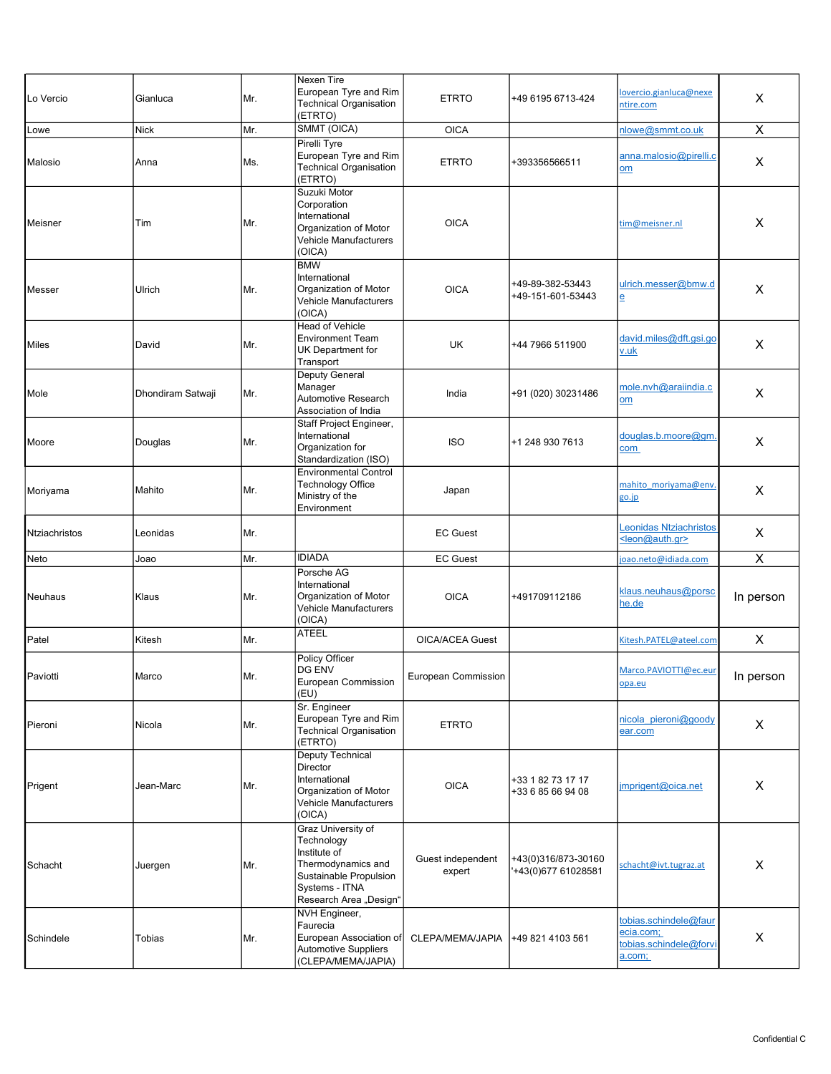| Lo Vercio      | Gianluca          | Mr.  | Nexen Tire<br>European Tyre and Rim<br>Technical Organisation<br>(ETRTO)                                                                     | <b>ETRTO</b>                | +49 6195 6713-424                          | lovercio.gianluca@nexe<br>ntire.com                                    | $\times$       |
|----------------|-------------------|------|----------------------------------------------------------------------------------------------------------------------------------------------|-----------------------------|--------------------------------------------|------------------------------------------------------------------------|----------------|
| Lowe           | <b>Nick</b>       | Mr.  | SMMT (OICA)                                                                                                                                  | <b>OICA</b>                 |                                            | nlowe@smmt.co.uk                                                       | $\pmb{\times}$ |
| Malosio        | Anna              | Ms.  | Pirelli Tyre<br>European Tyre and Rim<br>Technical Organisation<br>(ETRTO)                                                                   | <b>ETRTO</b>                | +393356566511                              | anna.malosio@pirelli.c<br>om                                           | X              |
| Meisner        | Tim               | Mr.  | Suzuki Motor<br>Corporation<br>International<br>Organization of Motor<br>Vehicle Manufacturers<br>(OICA)                                     | <b>OICA</b>                 |                                            | tim@meisner.nl                                                         | X              |
| Messer         | Ulrich            | Mr.  | <b>BMW</b><br>International<br>Organization of Motor<br>Vehicle Manufacturers<br>(OICA)                                                      | <b>OICA</b>                 | +49-89-382-53443<br>+49-151-601-53443      | ulrich.messer@bmw.d<br>e                                               | X              |
| <b>Miles</b>   | David             | Mr.  | Head of Vehicle<br><b>Environment Team</b><br>UK Department for<br>Transport                                                                 | <b>UK</b>                   | +44 7966 511900                            | david.miles@dft.gsi.go<br>v.uk                                         | X              |
| Mole           | Dhondiram Satwaji | Mr.  | Deputy General<br>Manager<br>Automotive Research<br>Association of India                                                                     | India                       | +91 (020) 30231486                         | mole.nvh@araiindia.c<br>$om$                                           | X              |
| Moore          | Douglas           | Mr.  | Staff Project Engineer,<br>International<br>Organization for<br>Standardization (ISO)                                                        | <b>ISO</b>                  | +1 248 930 7613                            | douglas.b.moore@gm.<br>com                                             | X              |
| Moriyama       | Mahito            | Mr.  | <b>Environmental Control</b><br><b>Technology Office</b><br>Ministry of the<br>Environment                                                   | Japan                       |                                            | mahito moriyama@env.<br>go.jp                                          | X              |
| Ntziachristos  | Leonidas          | Mr.  |                                                                                                                                              | <b>EC Guest</b>             |                                            | <b>Leonidas Ntziachristos</b><br><leon@auth.gr></leon@auth.gr>         | X              |
| Neto           | Joao              | Mr.  | <b>IDIADA</b>                                                                                                                                | <b>EC Guest</b>             |                                            | joao.neto@idiada.com                                                   | $\pmb{\times}$ |
| <b>Neuhaus</b> | Klaus             | Mr.  | Porsche AG<br>International<br>Organization of Motor<br>Vehicle Manufacturers<br>(OICA)                                                      | <b>OICA</b>                 | +491709112186                              | klaus.neuhaus@porsc<br>he.de                                           | In person      |
| Patel          | Kitesh            | Mr.  | <b>ATEEL</b>                                                                                                                                 | <b>OICA/ACEA Guest</b>      |                                            | Kitesh.PATEL@ateel.com                                                 | $\pmb{\times}$ |
| Paviotti       | Marco             | IMr. | Policy Officer<br>DG ENV<br>European Commission<br>(EU)                                                                                      | European Commission         |                                            | Marco.PAVIOTTI@ec.eur<br>opa.eu                                        | In person      |
| Pieroni        | Nicola            | Mr.  | Sr. Engineer<br>European Tyre and Rim<br>Technical Organisation<br>(ETRTO)                                                                   | <b>ETRTO</b>                |                                            | nicola pieroni@goody<br>ear.com                                        | X              |
| Prigent        | Jean-Marc         | Mr.  | Deputy Technical<br>Director<br>International<br>Organization of Motor<br>Vehicle Manufacturers<br>(OICA)                                    | <b>OICA</b>                 | +33 1 82 73 17 17<br>+33 6 85 66 94 08     | imprigent@oica.net                                                     | X              |
| Schacht        | Juergen           | Mr.  | Graz University of<br>Technology<br>Institute of<br>Thermodynamics and<br>Sustainable Propulsion<br>Systems - ITNA<br>Research Area "Design" | Guest independent<br>expert | +43(0)316/873-30160<br>'+43(0)677 61028581 | schacht@ivt.tugraz.at                                                  | X              |
| Schindele      | Tobias            | Mr.  | NVH Engineer,<br>Faurecia<br>European Association of<br>Automotive Suppliers<br>(CLEPA/MEMA/JAPIA)                                           | CLEPA/MEMA/JAPIA            | +49 821 4103 561                           | tobias.schindele@faur<br>ecia.com;<br>tobias.schindele@forvi<br>a.com; | X              |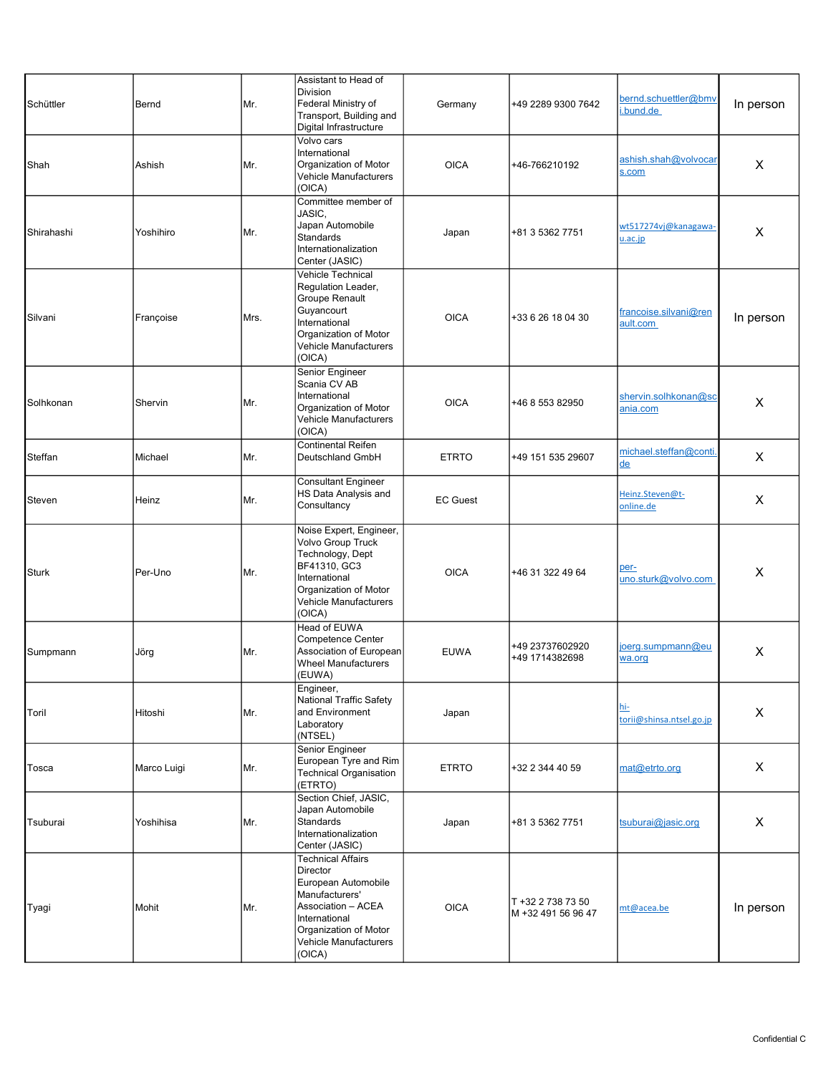| Schüttler    | Bernd       | Mr.  | Assistant to Head of<br>Division<br>Federal Ministry of<br>Transport, Building and<br>Digital Infrastructure                                                                     | Germany         | +49 2289 9300 7642                      | bernd.schuettler@bmv<br>i.bund.de       | In person |
|--------------|-------------|------|----------------------------------------------------------------------------------------------------------------------------------------------------------------------------------|-----------------|-----------------------------------------|-----------------------------------------|-----------|
| Shah         | Ashish      | Mr.  | Volvo cars<br>International<br>Organization of Motor<br>Vehicle Manufacturers<br>(OICA)                                                                                          | <b>OICA</b>     | +46-766210192                           | ashish.shah@volvocar<br>s.com           | X         |
| Shirahashi   | Yoshihiro   | Mr.  | Committee member of<br>JASIC,<br>Japan Automobile<br>Standards<br>Internationalization<br>Center (JASIC)                                                                         | Japan           | +81 3 5362 7751                         | wt517274vj@kanagawa-<br>u.ac.jp         | X         |
| Silvani      | Françoise   | Mrs. | Vehicle Technical<br>Regulation Leader,<br>Groupe Renault<br>Guyancourt<br>International<br>Organization of Motor<br>Vehicle Manufacturers<br>(OICA)                             | <b>OICA</b>     | +33 6 26 18 04 30                       | francoise.silvani@ren<br>ault.com       | In person |
| Solhkonan    | Shervin     | Mr.  | Senior Engineer<br>Scania CV AB<br>International<br>Organization of Motor<br>Vehicle Manufacturers<br>(OICA)                                                                     | <b>OICA</b>     | +46 8 553 82950                         | shervin.solhkonan@sc<br><u>ania.com</u> | X         |
| Steffan      | Michael     | Mr.  | Continental Reifen<br>Deutschland GmbH                                                                                                                                           | <b>ETRTO</b>    | +49 151 535 29607                       | michael.steffan@conti.<br>de            | X         |
| Steven       | Heinz       | Mr.  | <b>Consultant Engineer</b><br>HS Data Analysis and<br>Consultancy                                                                                                                | <b>EC Guest</b> |                                         | Heinz.Steven@t-<br>online.de            | X         |
| <b>Sturk</b> | Per-Uno     | Mr.  | Noise Expert, Engineer,<br>Volvo Group Truck<br>Technology, Dept<br>BF41310, GC3<br>International<br>Organization of Motor<br><b>Vehicle Manufacturers</b><br>(OICA)             | <b>OICA</b>     | +46 31 322 49 64                        | per-<br>uno.sturk@volvo.com             | X         |
| Sumpmann     | Jörg        | Mr.  | Head of EUWA<br>Competence Center<br>Association of European<br><b>Wheel Manufacturers</b><br>(EUWA)                                                                             | <b>EUWA</b>     | +49 23737602920<br>+49 1714382698       | ioerg.sumpmann@eu<br>wa.org             | X         |
| Toril        | Hitoshi     | Mr.  | Engineer,<br><b>National Traffic Safety</b><br>and Environment<br>Laboratory<br>(NTSEL)                                                                                          | Japan           |                                         | <u>hi-</u><br>torii@shinsa.ntsel.go.jp  | X         |
| Tosca        | Marco Luigi | Mr.  | Senior Engineer<br>European Tyre and Rim<br><b>Technical Organisation</b><br>(ETRTO)                                                                                             | <b>ETRTO</b>    | +32 2 344 40 59                         | mat@etrto.org                           | X         |
| Tsuburai     | Yoshihisa   | Mr.  | Section Chief, JASIC,<br>Japan Automobile<br>Standards<br>Internationalization<br>Center (JASIC)                                                                                 | Japan           | +81 3 5362 7751                         | tsuburai@jasic.org                      | X         |
| Tyagi        | Mohit       | Mr.  | <b>Technical Affairs</b><br>Director<br>European Automobile<br>Manufacturers'<br>Association - ACEA<br>International<br>Organization of Motor<br>Vehicle Manufacturers<br>(OICA) | <b>OICA</b>     | T +32 2 738 73 50<br>M +32 491 56 96 47 | mt@acea.be                              | In person |